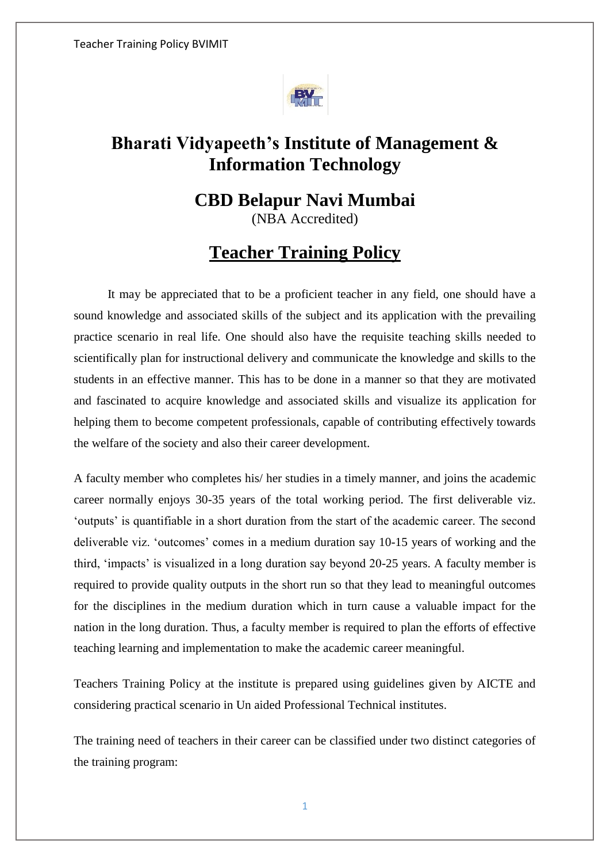

# **Bharati Vidyapeeth's Institute of Management & Information Technology**

# **CBD Belapur Navi Mumbai** (NBA Accredited)

# **Teacher Training Policy**

 It may be appreciated that to be a proficient teacher in any field, one should have a sound knowledge and associated skills of the subject and its application with the prevailing practice scenario in real life. One should also have the requisite teaching skills needed to scientifically plan for instructional delivery and communicate the knowledge and skills to the students in an effective manner. This has to be done in a manner so that they are motivated and fascinated to acquire knowledge and associated skills and visualize its application for helping them to become competent professionals, capable of contributing effectively towards the welfare of the society and also their career development.

A faculty member who completes his/ her studies in a timely manner, and joins the academic career normally enjoys 30-35 years of the total working period. The first deliverable viz. 'outputs' is quantifiable in a short duration from the start of the academic career. The second deliverable viz. 'outcomes' comes in a medium duration say 10-15 years of working and the third, 'impacts' is visualized in a long duration say beyond 20-25 years. A faculty member is required to provide quality outputs in the short run so that they lead to meaningful outcomes for the disciplines in the medium duration which in turn cause a valuable impact for the nation in the long duration. Thus, a faculty member is required to plan the efforts of effective teaching learning and implementation to make the academic career meaningful.

Teachers Training Policy at the institute is prepared using guidelines given by AICTE and considering practical scenario in Un aided Professional Technical institutes.

The training need of teachers in their career can be classified under two distinct categories of the training program: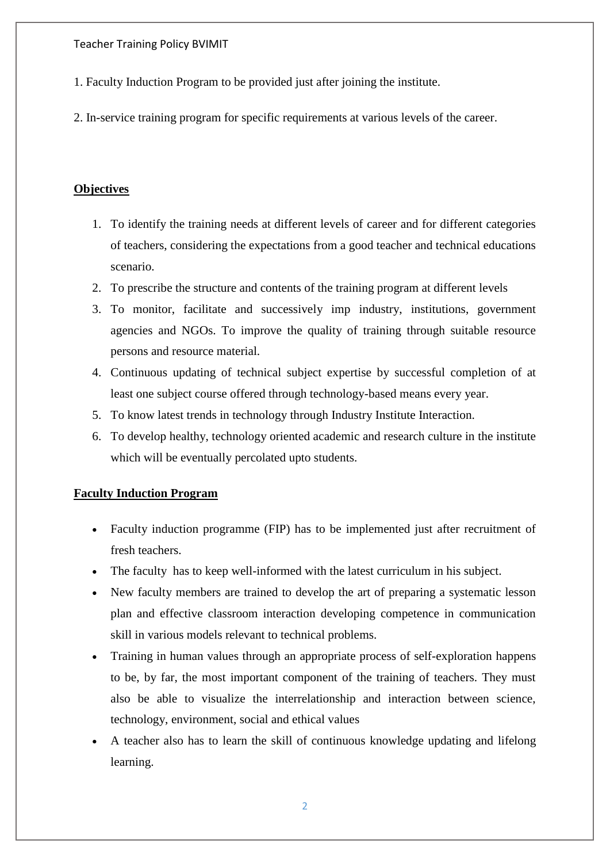Teacher Training Policy BVIMIT

- 1. Faculty Induction Program to be provided just after joining the institute.
- 2. In-service training program for specific requirements at various levels of the career.

#### **Objectives**

- 1. To identify the training needs at different levels of career and for different categories of teachers, considering the expectations from a good teacher and technical educations scenario.
- 2. To prescribe the structure and contents of the training program at different levels
- 3. To monitor, facilitate and successively imp industry, institutions, government agencies and NGOs. To improve the quality of training through suitable resource persons and resource material.
- 4. Continuous updating of technical subject expertise by successful completion of at least one subject course offered through technology-based means every year.
- 5. To know latest trends in technology through Industry Institute Interaction.
- 6. To develop healthy, technology oriented academic and research culture in the institute which will be eventually percolated upto students.

### **Faculty Induction Program**

- Faculty induction programme (FIP) has to be implemented just after recruitment of fresh teachers.
- The faculty has to keep well-informed with the latest curriculum in his subject.
- New faculty members are trained to develop the art of preparing a systematic lesson plan and effective classroom interaction developing competence in communication skill in various models relevant to technical problems.
- Training in human values through an appropriate process of self-exploration happens to be, by far, the most important component of the training of teachers. They must also be able to visualize the interrelationship and interaction between science, technology, environment, social and ethical values
- A teacher also has to learn the skill of continuous knowledge updating and lifelong learning.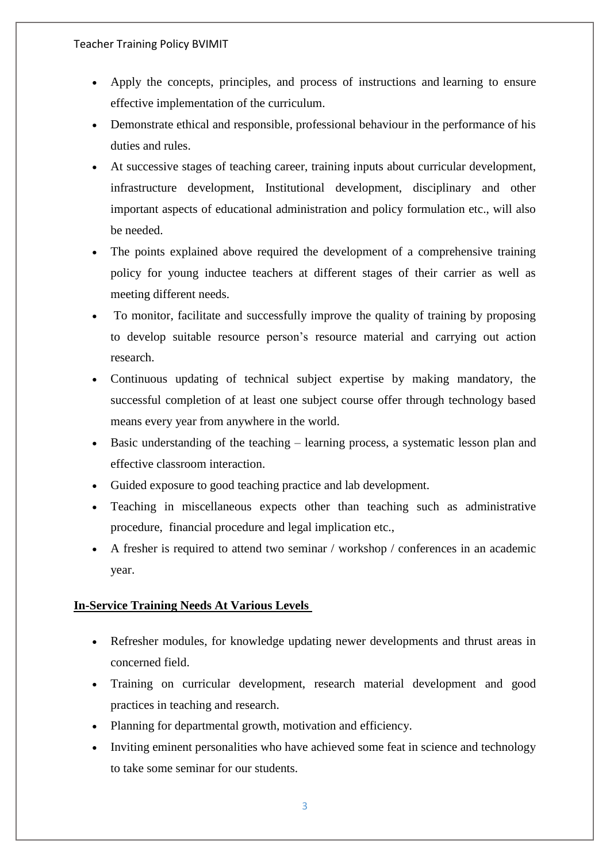- Apply the concepts, principles, and process of instructions and learning to ensure effective implementation of the curriculum.
- Demonstrate ethical and responsible, professional behaviour in the performance of his duties and rules.
- At successive stages of teaching career, training inputs about curricular development, infrastructure development, Institutional development, disciplinary and other important aspects of educational administration and policy formulation etc., will also be needed.
- The points explained above required the development of a comprehensive training policy for young inductee teachers at different stages of their carrier as well as meeting different needs.
- To monitor, facilitate and successfully improve the quality of training by proposing to develop suitable resource person's resource material and carrying out action research.
- Continuous updating of technical subject expertise by making mandatory, the successful completion of at least one subject course offer through technology based means every year from anywhere in the world.
- Basic understanding of the teaching learning process, a systematic lesson plan and effective classroom interaction.
- Guided exposure to good teaching practice and lab development.
- Teaching in miscellaneous expects other than teaching such as administrative procedure, financial procedure and legal implication etc.,
- A fresher is required to attend two seminar / workshop / conferences in an academic year.

## **In-Service Training Needs At Various Levels**

- Refresher modules, for knowledge updating newer developments and thrust areas in concerned field.
- Training on curricular development, research material development and good practices in teaching and research.
- Planning for departmental growth, motivation and efficiency.
- Inviting eminent personalities who have achieved some feat in science and technology to take some seminar for our students.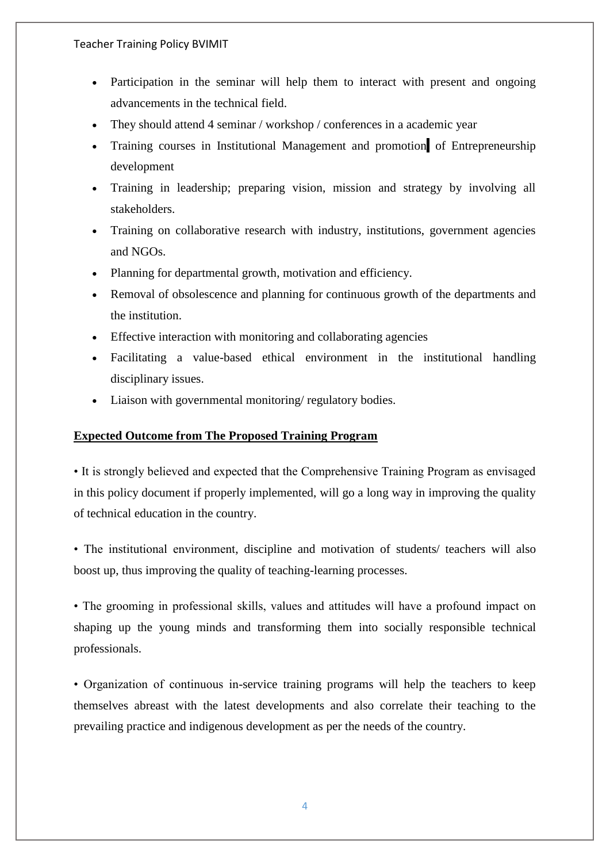- Participation in the seminar will help them to interact with present and ongoing advancements in the technical field.
- They should attend 4 seminar / workshop / conferences in a academic year
- Training courses in Institutional Management and promotion of Entrepreneurship development
- Training in leadership; preparing vision, mission and strategy by involving all stakeholders.
- Training on collaborative research with industry, institutions, government agencies and NGOs.
- Planning for departmental growth, motivation and efficiency.
- Removal of obsolescence and planning for continuous growth of the departments and the institution.
- Effective interaction with monitoring and collaborating agencies
- Facilitating a value-based ethical environment in the institutional handling disciplinary issues.
- Liaison with governmental monitoring/ regulatory bodies.

### **Expected Outcome from The Proposed Training Program**

• It is strongly believed and expected that the Comprehensive Training Program as envisaged in this policy document if properly implemented, will go a long way in improving the quality of technical education in the country.

• The institutional environment, discipline and motivation of students/ teachers will also boost up, thus improving the quality of teaching-learning processes.

• The grooming in professional skills, values and attitudes will have a profound impact on shaping up the young minds and transforming them into socially responsible technical professionals.

• Organization of continuous in-service training programs will help the teachers to keep themselves abreast with the latest developments and also correlate their teaching to the prevailing practice and indigenous development as per the needs of the country.